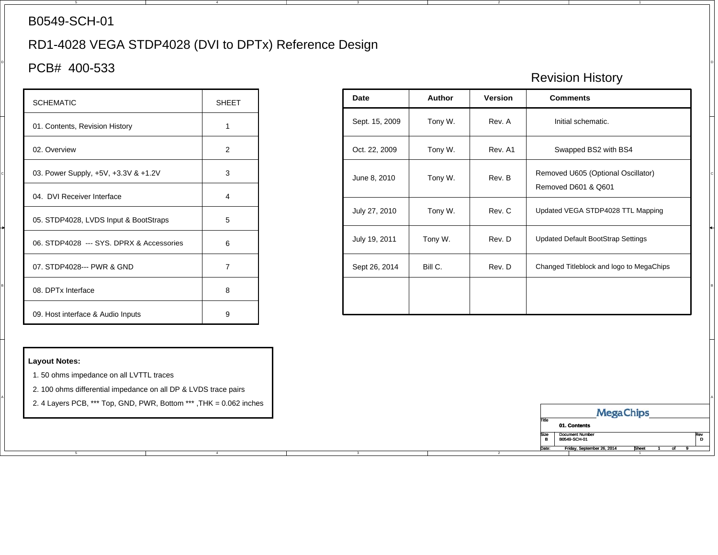#### B0549-SCH-01

# RD1-4028 VEGA STDP4028 (DVI to DPTx) Reference Design

4

### $\sim$  PCB# 400-533

| <b>SCHEMATIC</b>                         | <b>SHFFT</b>   |
|------------------------------------------|----------------|
| 01. Contents, Revision History           | 1              |
| 02. Overview                             | 2              |
| 03. Power Supply, +5V, +3.3V & +1.2V     | 3              |
| 04. DVI Receiver Interface               | 4              |
| 05. STDP4028, LVDS Input & BootStraps    | 5              |
| 06. STDP4028 --- SYS. DPRX & Accessories | 6              |
| 07. STDP4028--- PWR & GND                | $\overline{7}$ |
| 08. DPTx Interface                       | 8              |
| 09. Host interface & Audio Inputs        | 9              |

#### **Layout Notes:**

A

1. 50 ohms impedance on all LVTTL traces

2. 100 ohms differential impedance on all DP & LVDS trace pairs

2. 4 Layers PCB, \*\*\* Top, GND, PWR, Bottom \*\*\* ,THK = 0.062 inches

4

## Revision History

| <b>SCHEMATIC</b>                         | SHEET          | Date           |  | Version         | <b>Comments</b>                                           |
|------------------------------------------|----------------|----------------|--|-----------------|-----------------------------------------------------------|
| 01. Contents, Revision History           |                | Sept. 15, 2009 |  | Rev. A          | Initial schematic.                                        |
| 02. Overview                             | $\overline{2}$ | Oct. 22, 2009  |  | Rev. A1         | Swapped BS2 with BS4                                      |
| 03. Power Supply, +5V, +3.3V & +1.2V     | 3              | June 8, 2010   |  | Rev. B          | Removed U605 (Optional Oscillator)<br>Removed D601 & Q601 |
| 04. DVI Receiver Interface               | $\overline{4}$ |                |  |                 |                                                           |
| 05. STDP4028, LVDS Input & BootStraps    | 5              | July 27, 2010  |  | Rev. C          | Updated VEGA STDP4028 TTL Mapping                         |
| 06. STDP4028 --- SYS. DPRX & Accessories | 6              | July 19, 2011  |  | Rev. D          | <b>Updated Default BootStrap Settings</b>                 |
| 07. STDP4028--- PWR & GND                | $\overline{7}$ | Sept 26, 2014  |  | Rev. D          | Changed Titleblock and logo to MegaChips                  |
| 08. DPTx Interface                       | 8              | March 11, 2020 |  | <b>Rev. 03a</b> | Update to Kinetic format.                                 |
| 09. Host interface & Audio Inputs        | 9              |                |  |                 |                                                           |

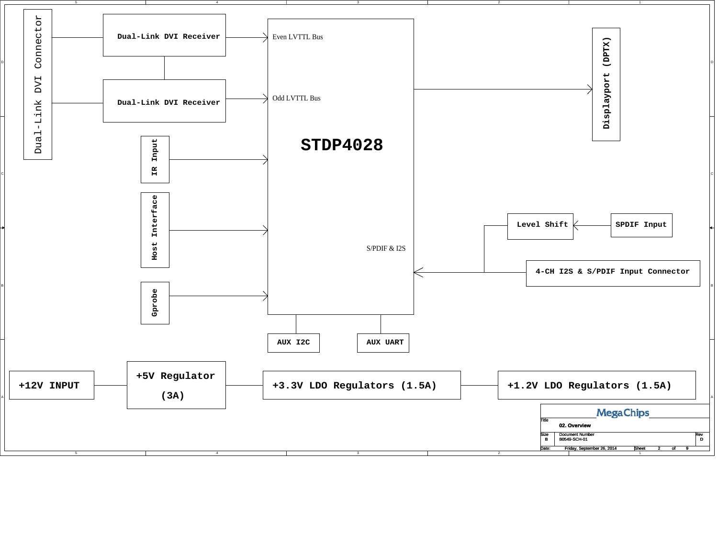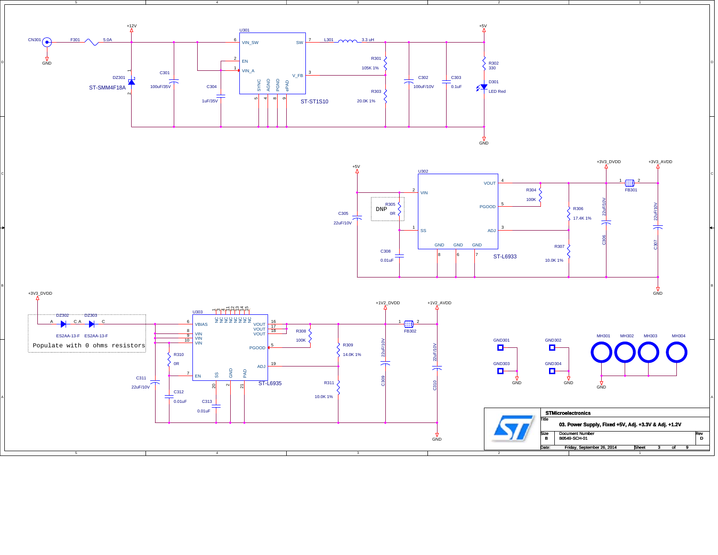



4

D

B

A

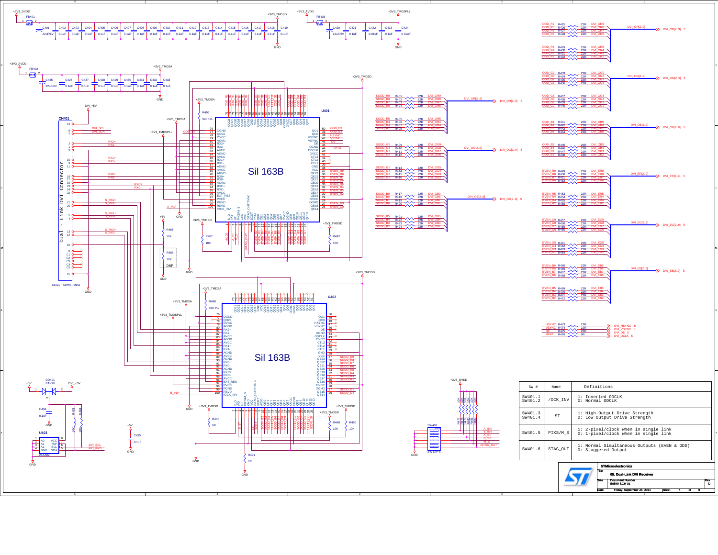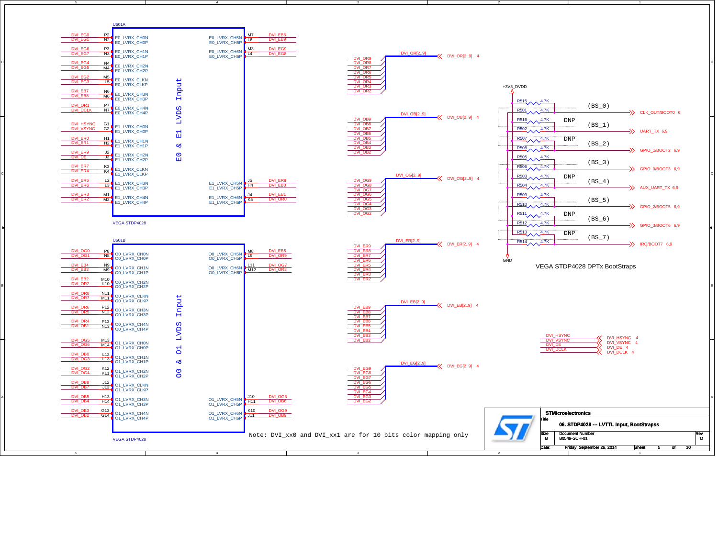

D

B

A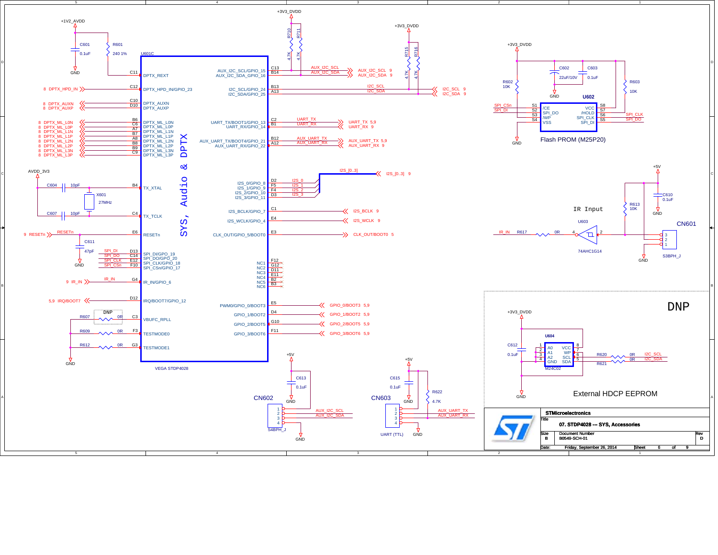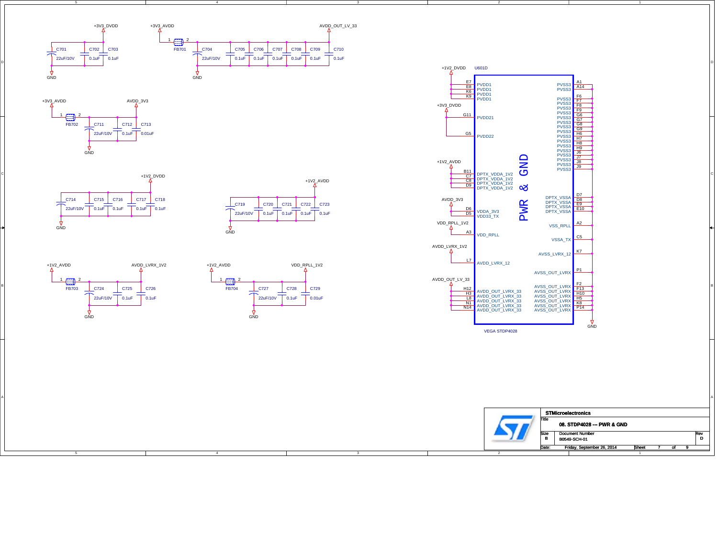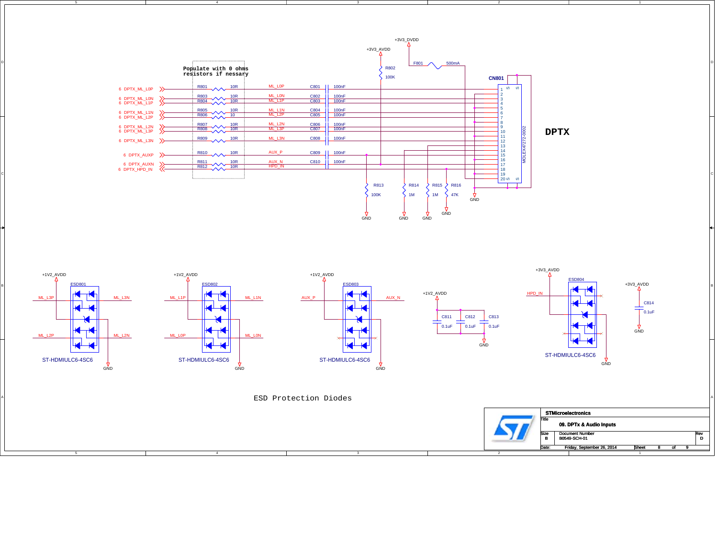

4

D